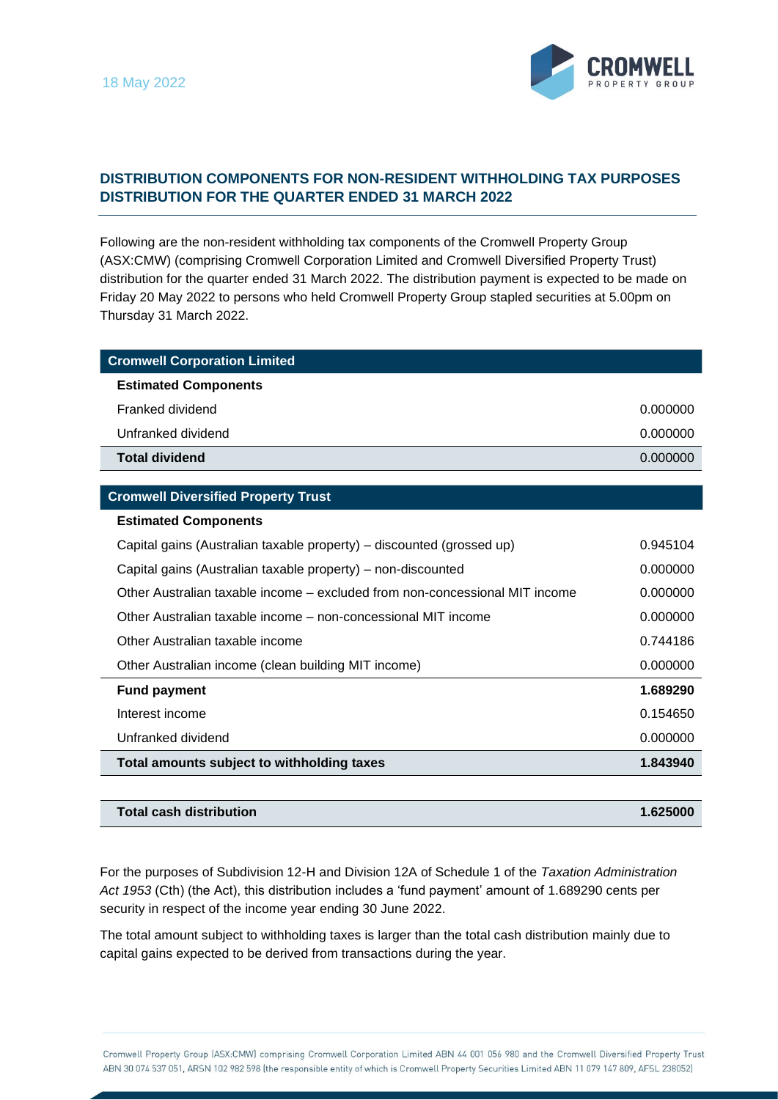

## **DISTRIBUTION COMPONENTS FOR NON-RESIDENT WITHHOLDING TAX PURPOSES DISTRIBUTION FOR THE QUARTER ENDED 31 MARCH 2022**

Following are the non-resident withholding tax components of the Cromwell Property Group (ASX:CMW) (comprising Cromwell Corporation Limited and Cromwell Diversified Property Trust) distribution for the quarter ended 31 March 2022. The distribution payment is expected to be made on Friday 20 May 2022 to persons who held Cromwell Property Group stapled securities at 5.00pm on Thursday 31 March 2022.

| <b>Cromwell Corporation Limited</b> |          |
|-------------------------------------|----------|
| <b>Estimated Components</b>         |          |
| Franked dividend                    | 0.000000 |
| Unfranked dividend                  | 0.000000 |
| <b>Total dividend</b>               | 0.000000 |

## **Cromwell Diversified Property Trust**

## **Estimated Components**

| Capital gains (Australian taxable property) - discounted (grossed up)       | 0.945104 |
|-----------------------------------------------------------------------------|----------|
| Capital gains (Australian taxable property) - non-discounted                | 0.000000 |
| Other Australian taxable income – excluded from non-concessional MIT income | 0.000000 |
| Other Australian taxable income – non-concessional MIT income               | 0.000000 |
| Other Australian taxable income                                             | 0.744186 |
| Other Australian income (clean building MIT income)                         | 0.000000 |
| <b>Fund payment</b>                                                         | 1.689290 |
| Interest income                                                             | 0.154650 |
| Unfranked dividend                                                          | 0.000000 |
| Total amounts subject to withholding taxes                                  | 1.843940 |

| Total cash distribution | 1.625000 |
|-------------------------|----------|
|-------------------------|----------|

For the purposes of Subdivision 12-H and Division 12A of Schedule 1 of the *Taxation Administration Act 1953* (Cth) (the Act), this distribution includes a 'fund payment' amount of 1.689290 cents per security in respect of the income year ending 30 June 2022.

The total amount subject to withholding taxes is larger than the total cash distribution mainly due to capital gains expected to be derived from transactions during the year.

Cromwell Property Group (ASX:CMW) comprising Cromwell Corporation Limited ABN 44 001 056 980 and the Cromwell Diversified Property Trust ABN 30 074 537 051, ARSN 102 982 598 (the responsible entity of which is Cromwell Property Securities Limited ABN 11 079 147 809, AFSL 238052)